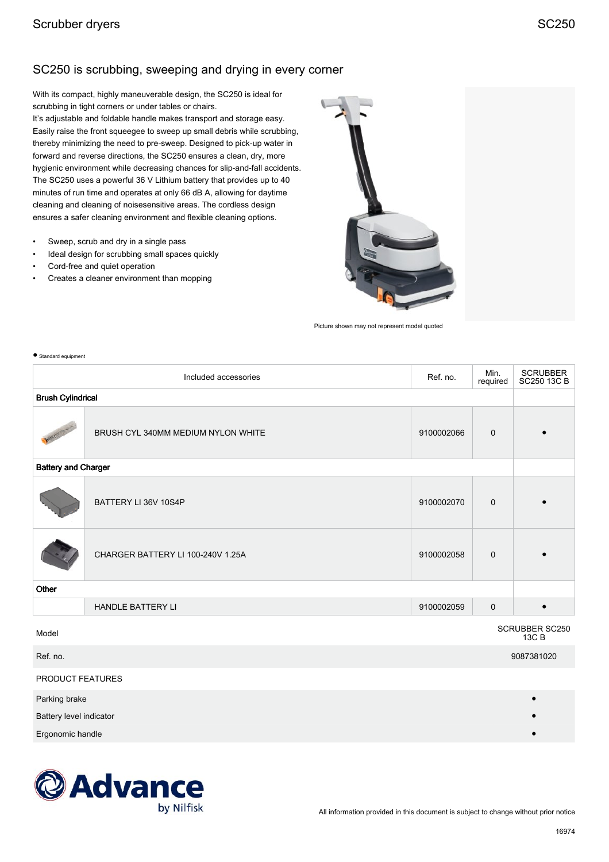## SC250 is scrubbing, sweeping and drying in every corner

With its compact, highly maneuverable design, the SC250 is ideal for scrubbing in tight corners or under tables or chairs.

It's adjustable and foldable handle makes transport and storage easy. Easily raise the front squeegee to sweep up small debris while scrubbing, thereby minimizing the need to pre-sweep. Designed to pick-up water in forward and reverse directions, the SC250 ensures a clean, dry, more hygienic environment while decreasing chances for slip-and-fall accidents. The SC250 uses a powerful 36 V Lithium battery that provides up to 40 minutes of run time and operates at only 66 dB A, allowing for daytime cleaning and cleaning of noisesensitive areas. The cordless design ensures a safer cleaning environment and flexible cleaning options.

- Sweep, scrub and dry in a single pass
- Ideal design for scrubbing small spaces quickly
- Cord-free and quiet operation
- Creates a cleaner environment than mopping



Picture shown may not represent model quoted

| Standard equipment               |                                    |            |                  |                         |  |  |
|----------------------------------|------------------------------------|------------|------------------|-------------------------|--|--|
| Included accessories             |                                    | Ref. no.   | Min.<br>required | SCRUBBER<br>SC250 13C B |  |  |
| <b>Brush Cylindrical</b>         |                                    |            |                  |                         |  |  |
|                                  | BRUSH CYL 340MM MEDIUM NYLON WHITE | 9100002066 | $\mathbf 0$      |                         |  |  |
| <b>Battery and Charger</b>       |                                    |            |                  |                         |  |  |
|                                  | BATTERY LI 36V 10S4P               | 9100002070 | $\mathbf 0$      |                         |  |  |
|                                  | CHARGER BATTERY LI 100-240V 1.25A  | 9100002058 | $\mathbf 0$      |                         |  |  |
| Other                            |                                    |            |                  |                         |  |  |
|                                  | <b>HANDLE BATTERY LI</b>           | 9100002059 | $\mathbf 0$      |                         |  |  |
| SCRUBBER SC250<br>Model<br>13C B |                                    |            |                  |                         |  |  |

Ref. no. 9087381020

PRODUCT FEATURES

Parking brake

Battery level indicator



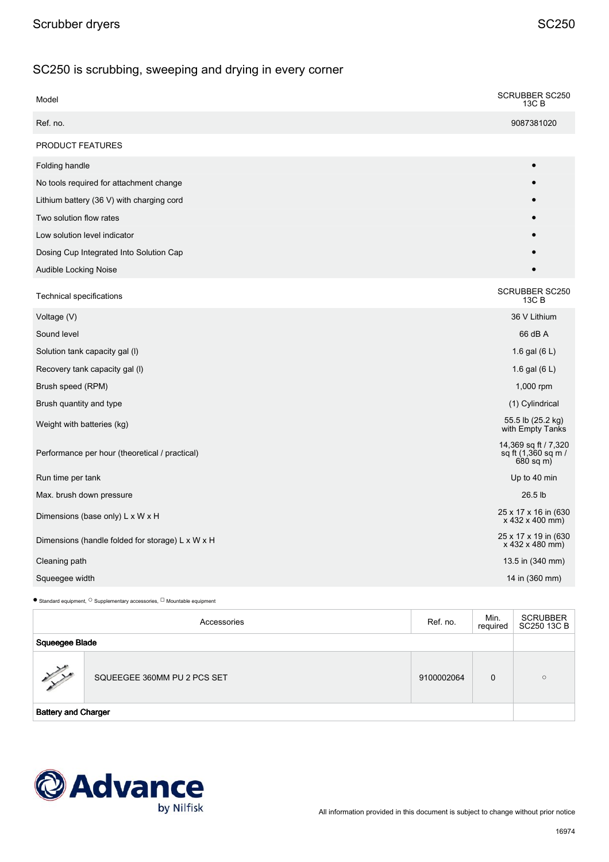## SC250 is scrubbing, sweeping and drying in every corner

| Model                                            | <b>SCRUBBER SC250</b><br>13C B                             |
|--------------------------------------------------|------------------------------------------------------------|
| Ref. no.                                         | 9087381020                                                 |
| PRODUCT FEATURES                                 |                                                            |
| Folding handle                                   |                                                            |
| No tools required for attachment change          |                                                            |
| Lithium battery (36 V) with charging cord        |                                                            |
| Two solution flow rates                          |                                                            |
| Low solution level indicator                     |                                                            |
| Dosing Cup Integrated Into Solution Cap          |                                                            |
| Audible Locking Noise                            |                                                            |
| Technical specifications                         | <b>SCRUBBER SC250</b><br>13C B                             |
| Voltage (V)                                      | 36 V Lithium                                               |
| Sound level                                      | 66 dB A                                                    |
| Solution tank capacity gal (I)                   | 1.6 gal $(6 L)$                                            |
| Recovery tank capacity gal (I)                   | 1.6 gal $(6 L)$                                            |
| Brush speed (RPM)                                | 1,000 rpm                                                  |
| Brush quantity and type                          | (1) Cylindrical                                            |
| Weight with batteries (kg)                       | 55.5 lb (25.2 kg)<br>with Empty Tanks                      |
| Performance per hour (theoretical / practical)   | 14,369 sq ft / 7,320<br>sq ft (1,360 sq m /<br>$680$ sq m) |
| Run time per tank                                | Up to 40 min                                               |
| Max. brush down pressure                         | 26.5 lb                                                    |
| Dimensions (base only) L x W x H                 | 25 x 17 x 16 in (630<br>x 432 x 400 mm)                    |
| Dimensions (handle folded for storage) L x W x H | 25 x 17 x 19 in (630<br>x 432 x 480 mm)                    |
| Cleaning path                                    | 13.5 in (340 mm)                                           |
| Squeegee width                                   | 14 in (360 mm)                                             |

 $\bullet$  Standard equipment,  $^\circ$  Supplementary accessories,  $^\Box$  Mountable equipment

| Accessories                |                             | Ref. no.   | Min.<br>required | <b>SCRUBBER</b><br>SC250 13C B |
|----------------------------|-----------------------------|------------|------------------|--------------------------------|
| Squeegee Blade             |                             |            |                  |                                |
| y y                        | SQUEEGEE 360MM PU 2 PCS SET | 9100002064 | $\Omega$         | $\circ$                        |
| <b>Battery and Charger</b> |                             |            |                  |                                |